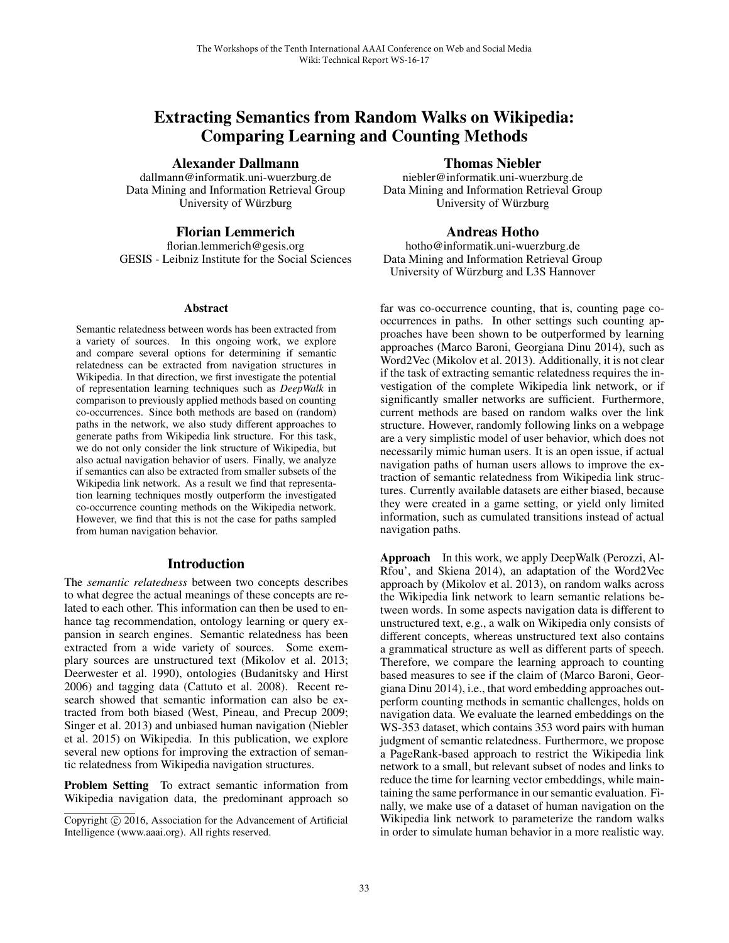# Extracting Semantics from Random Walks on Wikipedia: Comparing Learning and Counting Methods

Alexander Dallmann

dallmann@informatik.uni-wuerzburg.de Data Mining and Information Retrieval Group University of Würzburg

# Florian Lemmerich

florian.lemmerich@gesis.org GESIS - Leibniz Institute for the Social Sciences

#### Abstract

Semantic relatedness between words has been extracted from a variety of sources. In this ongoing work, we explore and compare several options for determining if semantic relatedness can be extracted from navigation structures in Wikipedia. In that direction, we first investigate the potential of representation learning techniques such as *DeepWalk* in comparison to previously applied methods based on counting co-occurrences. Since both methods are based on (random) paths in the network, we also study different approaches to generate paths from Wikipedia link structure. For this task, we do not only consider the link structure of Wikipedia, but also actual navigation behavior of users. Finally, we analyze if semantics can also be extracted from smaller subsets of the Wikipedia link network. As a result we find that representation learning techniques mostly outperform the investigated co-occurrence counting methods on the Wikipedia network. However, we find that this is not the case for paths sampled from human navigation behavior.

# Introduction

The *semantic relatedness* between two concepts describes to what degree the actual meanings of these concepts are related to each other. This information can then be used to enhance tag recommendation, ontology learning or query expansion in search engines. Semantic relatedness has been extracted from a wide variety of sources. Some exemplary sources are unstructured text (Mikolov et al. 2013; Deerwester et al. 1990), ontologies (Budanitsky and Hirst 2006) and tagging data (Cattuto et al. 2008). Recent research showed that semantic information can also be extracted from both biased (West, Pineau, and Precup 2009; Singer et al. 2013) and unbiased human navigation (Niebler et al. 2015) on Wikipedia. In this publication, we explore several new options for improving the extraction of semantic relatedness from Wikipedia navigation structures.

Problem Setting To extract semantic information from Wikipedia navigation data, the predominant approach so

# Thomas Niebler

niebler@informatik.uni-wuerzburg.de Data Mining and Information Retrieval Group University of Würzburg

# Andreas Hotho

hotho@informatik.uni-wuerzburg.de Data Mining and Information Retrieval Group University of Würzburg and L3S Hannover

far was co-occurrence counting, that is, counting page cooccurrences in paths. In other settings such counting approaches have been shown to be outperformed by learning approaches (Marco Baroni, Georgiana Dinu 2014), such as Word2Vec (Mikolov et al. 2013). Additionally, it is not clear if the task of extracting semantic relatedness requires the investigation of the complete Wikipedia link network, or if significantly smaller networks are sufficient. Furthermore, current methods are based on random walks over the link structure. However, randomly following links on a webpage are a very simplistic model of user behavior, which does not necessarily mimic human users. It is an open issue, if actual navigation paths of human users allows to improve the extraction of semantic relatedness from Wikipedia link structures. Currently available datasets are either biased, because they were created in a game setting, or yield only limited information, such as cumulated transitions instead of actual navigation paths.

Approach In this work, we apply DeepWalk (Perozzi, Al-Rfou', and Skiena 2014), an adaptation of the Word2Vec approach by (Mikolov et al. 2013), on random walks across the Wikipedia link network to learn semantic relations between words. In some aspects navigation data is different to unstructured text, e.g., a walk on Wikipedia only consists of different concepts, whereas unstructured text also contains a grammatical structure as well as different parts of speech. Therefore, we compare the learning approach to counting based measures to see if the claim of (Marco Baroni, Georgiana Dinu 2014), i.e., that word embedding approaches outperform counting methods in semantic challenges, holds on navigation data. We evaluate the learned embeddings on the WS-353 dataset, which contains 353 word pairs with human judgment of semantic relatedness. Furthermore, we propose a PageRank-based approach to restrict the Wikipedia link network to a small, but relevant subset of nodes and links to reduce the time for learning vector embeddings, while maintaining the same performance in our semantic evaluation. Finally, we make use of a dataset of human navigation on the Wikipedia link network to parameterize the random walks in order to simulate human behavior in a more realistic way.

Copyright © 2016, Association for the Advancement of Artificial Intelligence (www.aaai.org). All rights reserved.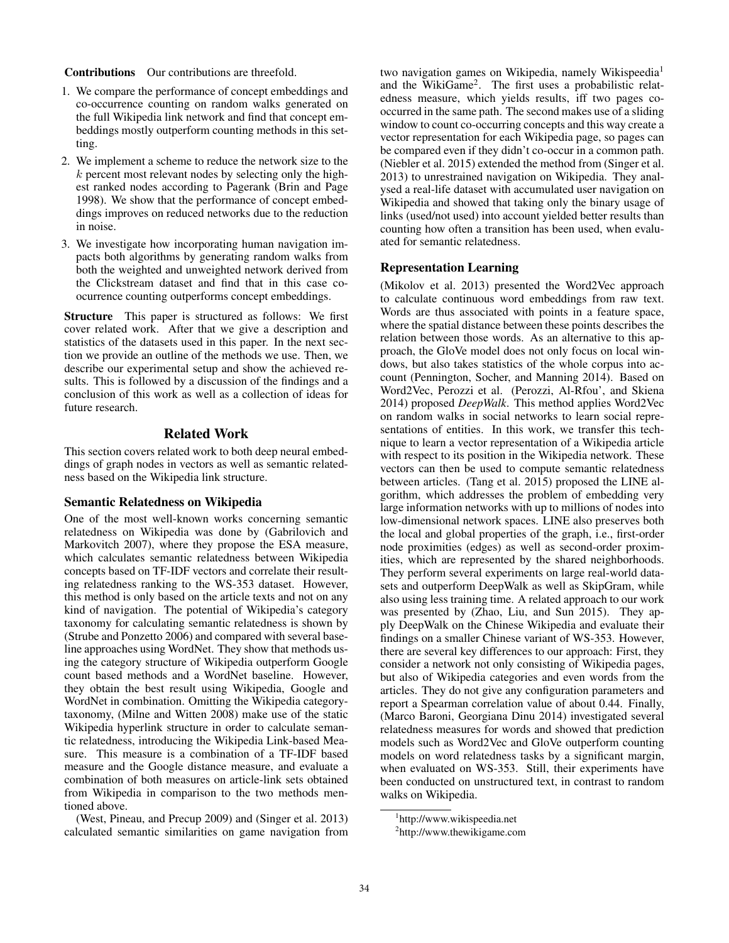#### Contributions Our contributions are threefold.

- 1. We compare the performance of concept embeddings and co-occurrence counting on random walks generated on the full Wikipedia link network and find that concept embeddings mostly outperform counting methods in this setting.
- 2. We implement a scheme to reduce the network size to the *k* percent most relevant nodes by selecting only the highest ranked nodes according to Pagerank (Brin and Page 1998). We show that the performance of concept embeddings improves on reduced networks due to the reduction in noise.
- 3. We investigate how incorporating human navigation impacts both algorithms by generating random walks from both the weighted and unweighted network derived from the Clickstream dataset and find that in this case coocurrence counting outperforms concept embeddings.

Structure This paper is structured as follows: We first cover related work. After that we give a description and statistics of the datasets used in this paper. In the next section we provide an outline of the methods we use. Then, we describe our experimental setup and show the achieved results. This is followed by a discussion of the findings and a conclusion of this work as well as a collection of ideas for future research.

# Related Work

This section covers related work to both deep neural embeddings of graph nodes in vectors as well as semantic relatedness based on the Wikipedia link structure.

# Semantic Relatedness on Wikipedia

One of the most well-known works concerning semantic relatedness on Wikipedia was done by (Gabrilovich and Markovitch 2007), where they propose the ESA measure, which calculates semantic relatedness between Wikipedia concepts based on TF-IDF vectors and correlate their resulting relatedness ranking to the WS-353 dataset. However, this method is only based on the article texts and not on any kind of navigation. The potential of Wikipedia's category taxonomy for calculating semantic relatedness is shown by (Strube and Ponzetto 2006) and compared with several baseline approaches using WordNet. They show that methods using the category structure of Wikipedia outperform Google count based methods and a WordNet baseline. However, they obtain the best result using Wikipedia, Google and WordNet in combination. Omitting the Wikipedia categorytaxonomy, (Milne and Witten 2008) make use of the static Wikipedia hyperlink structure in order to calculate semantic relatedness, introducing the Wikipedia Link-based Measure. This measure is a combination of a TF-IDF based measure and the Google distance measure, and evaluate a combination of both measures on article-link sets obtained from Wikipedia in comparison to the two methods mentioned above.

(West, Pineau, and Precup 2009) and (Singer et al. 2013) calculated semantic similarities on game navigation from

two navigation games on Wikipedia, namely Wikispeedia<sup>1</sup> and the WikiGame2. The first uses a probabilistic relatedness measure, which yields results, iff two pages cooccurred in the same path. The second makes use of a sliding window to count co-occurring concepts and this way create a vector representation for each Wikipedia page, so pages can be compared even if they didn't co-occur in a common path. (Niebler et al. 2015) extended the method from (Singer et al. 2013) to unrestrained navigation on Wikipedia. They analysed a real-life dataset with accumulated user navigation on Wikipedia and showed that taking only the binary usage of links (used/not used) into account yielded better results than counting how often a transition has been used, when evaluated for semantic relatedness.

# Representation Learning

(Mikolov et al. 2013) presented the Word2Vec approach to calculate continuous word embeddings from raw text. Words are thus associated with points in a feature space, where the spatial distance between these points describes the relation between those words. As an alternative to this approach, the GloVe model does not only focus on local windows, but also takes statistics of the whole corpus into account (Pennington, Socher, and Manning 2014). Based on Word2Vec, Perozzi et al. (Perozzi, Al-Rfou', and Skiena 2014) proposed *DeepWalk*. This method applies Word2Vec on random walks in social networks to learn social representations of entities. In this work, we transfer this technique to learn a vector representation of a Wikipedia article with respect to its position in the Wikipedia network. These vectors can then be used to compute semantic relatedness between articles. (Tang et al. 2015) proposed the LINE algorithm, which addresses the problem of embedding very large information networks with up to millions of nodes into low-dimensional network spaces. LINE also preserves both the local and global properties of the graph, i.e., first-order node proximities (edges) as well as second-order proximities, which are represented by the shared neighborhoods. They perform several experiments on large real-world datasets and outperform DeepWalk as well as SkipGram, while also using less training time. A related approach to our work was presented by (Zhao, Liu, and Sun 2015). They apply DeepWalk on the Chinese Wikipedia and evaluate their findings on a smaller Chinese variant of WS-353. However, there are several key differences to our approach: First, they consider a network not only consisting of Wikipedia pages, but also of Wikipedia categories and even words from the articles. They do not give any configuration parameters and report a Spearman correlation value of about 0.44. Finally, (Marco Baroni, Georgiana Dinu 2014) investigated several relatedness measures for words and showed that prediction models such as Word2Vec and GloVe outperform counting models on word relatedness tasks by a significant margin, when evaluated on WS-353. Still, their experiments have been conducted on unstructured text, in contrast to random walks on Wikipedia.

<sup>1</sup> http://www.wikispeedia.net

<sup>2</sup> http://www.thewikigame.com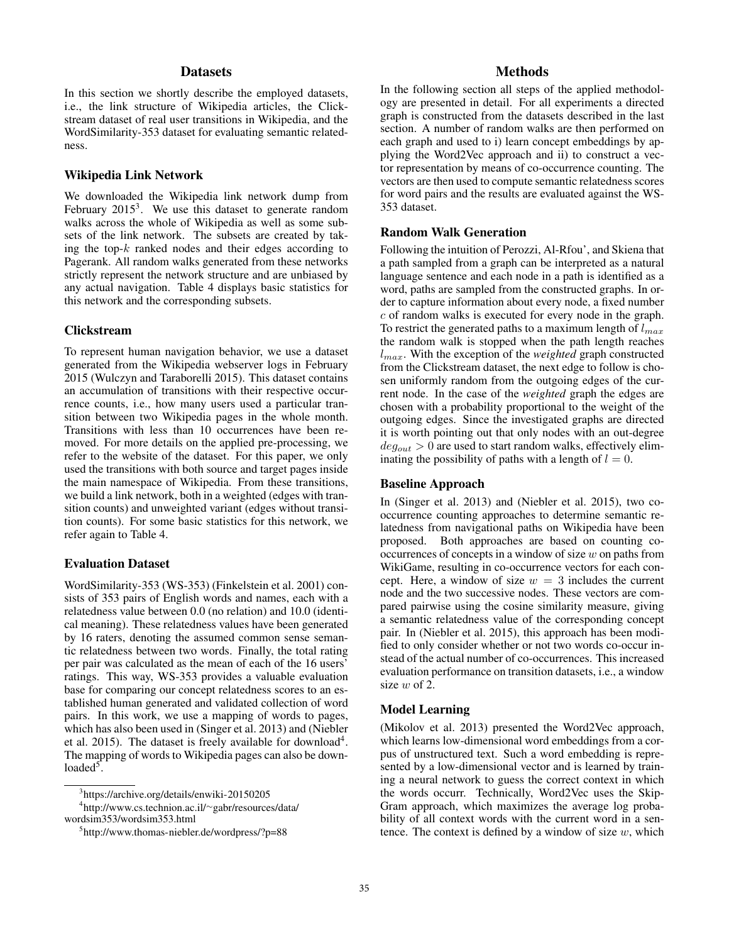# **Datasets**

In this section we shortly describe the employed datasets, i.e., the link structure of Wikipedia articles, the Clickstream dataset of real user transitions in Wikipedia, and the WordSimilarity-353 dataset for evaluating semantic relatedness.

# Wikipedia Link Network

We downloaded the Wikipedia link network dump from February  $2015<sup>3</sup>$ . We use this dataset to generate random walks across the whole of Wikipedia as well as some subsets of the link network. The subsets are created by taking the top-*k* ranked nodes and their edges according to Pagerank. All random walks generated from these networks strictly represent the network structure and are unbiased by any actual navigation. Table 4 displays basic statistics for this network and the corresponding subsets.

#### Clickstream

To represent human navigation behavior, we use a dataset generated from the Wikipedia webserver logs in February 2015 (Wulczyn and Taraborelli 2015). This dataset contains an accumulation of transitions with their respective occurrence counts, i.e., how many users used a particular transition between two Wikipedia pages in the whole month. Transitions with less than 10 occurrences have been removed. For more details on the applied pre-processing, we refer to the website of the dataset. For this paper, we only used the transitions with both source and target pages inside the main namespace of Wikipedia. From these transitions, we build a link network, both in a weighted (edges with transition counts) and unweighted variant (edges without transition counts). For some basic statistics for this network, we refer again to Table 4.

# Evaluation Dataset

WordSimilarity-353 (WS-353) (Finkelstein et al. 2001) consists of 353 pairs of English words and names, each with a relatedness value between 0.0 (no relation) and 10.0 (identical meaning). These relatedness values have been generated by 16 raters, denoting the assumed common sense semantic relatedness between two words. Finally, the total rating per pair was calculated as the mean of each of the 16 users' ratings. This way, WS-353 provides a valuable evaluation base for comparing our concept relatedness scores to an established human generated and validated collection of word pairs. In this work, we use a mapping of words to pages, which has also been used in (Singer et al. 2013) and (Niebler et al. 2015). The dataset is freely available for download<sup>4</sup>. The mapping of words to Wikipedia pages can also be downloaded $5$ .

# **Methods**

In the following section all steps of the applied methodology are presented in detail. For all experiments a directed graph is constructed from the datasets described in the last section. A number of random walks are then performed on each graph and used to i) learn concept embeddings by applying the Word2Vec approach and ii) to construct a vector representation by means of co-occurrence counting. The vectors are then used to compute semantic relatedness scores for word pairs and the results are evaluated against the WS-353 dataset.

# Random Walk Generation

Following the intuition of Perozzi, Al-Rfou', and Skiena that a path sampled from a graph can be interpreted as a natural language sentence and each node in a path is identified as a word, paths are sampled from the constructed graphs. In order to capture information about every node, a fixed number *c* of random walks is executed for every node in the graph. To restrict the generated paths to a maximum length of *lmax* the random walk is stopped when the path length reaches *lmax*. With the exception of the *weighted* graph constructed from the Clickstream dataset, the next edge to follow is chosen uniformly random from the outgoing edges of the current node. In the case of the *weighted* graph the edges are chosen with a probability proportional to the weight of the outgoing edges. Since the investigated graphs are directed it is worth pointing out that only nodes with an out-degree  $deg_{out} > 0$  are used to start random walks, effectively eliminating the possibility of paths with a length of  $l = 0$ .

# Baseline Approach

In (Singer et al. 2013) and (Niebler et al. 2015), two cooccurrence counting approaches to determine semantic relatedness from navigational paths on Wikipedia have been proposed. Both approaches are based on counting cooccurrences of concepts in a window of size *w* on paths from WikiGame, resulting in co-occurrence vectors for each concept. Here, a window of size  $w = 3$  includes the current node and the two successive nodes. These vectors are compared pairwise using the cosine similarity measure, giving a semantic relatedness value of the corresponding concept pair. In (Niebler et al. 2015), this approach has been modified to only consider whether or not two words co-occur instead of the actual number of co-occurrences. This increased evaluation performance on transition datasets, i.e., a window size *w* of 2.

# Model Learning

(Mikolov et al. 2013) presented the Word2Vec approach, which learns low-dimensional word embeddings from a corpus of unstructured text. Such a word embedding is represented by a low-dimensional vector and is learned by training a neural network to guess the correct context in which the words occurr. Technically, Word2Vec uses the Skip-Gram approach, which maximizes the average log probability of all context words with the current word in a sentence. The context is defined by a window of size *w*, which

<sup>3</sup> https://archive.org/details/enwiki-20150205

<sup>4</sup> http://www.cs.technion.ac.il/∼gabr/resources/data/ wordsim353/wordsim353.html

<sup>5</sup> http://www.thomas-niebler.de/wordpress/?p=88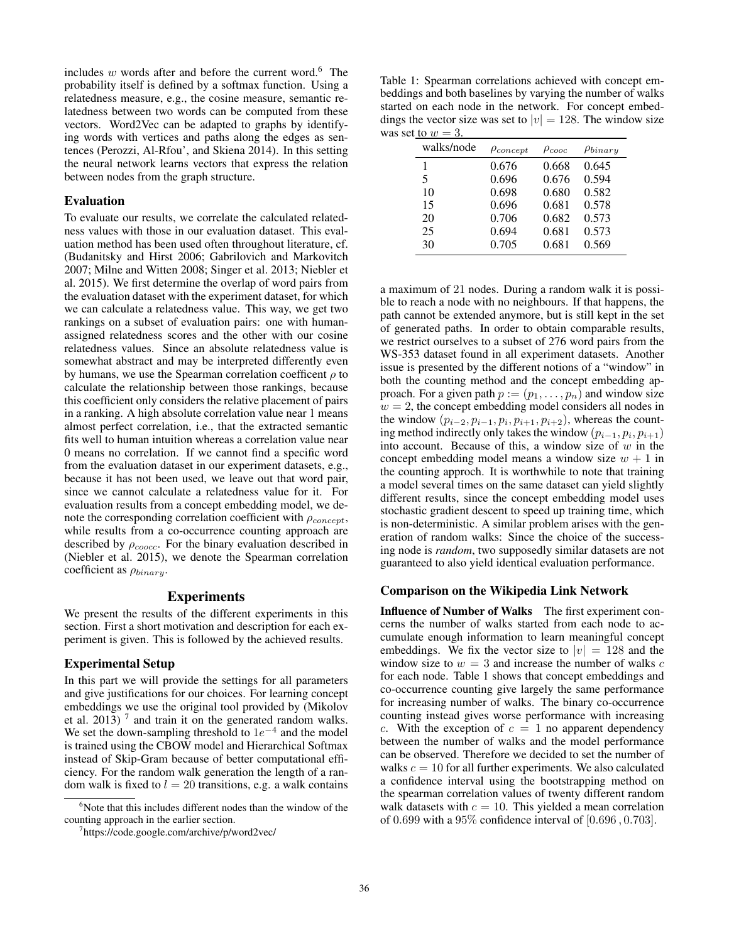includes  $w$  words after and before the current word.<sup>6</sup> The probability itself is defined by a softmax function. Using a relatedness measure, e.g., the cosine measure, semantic relatedness between two words can be computed from these vectors. Word2Vec can be adapted to graphs by identifying words with vertices and paths along the edges as sentences (Perozzi, Al-Rfou', and Skiena 2014). In this setting the neural network learns vectors that express the relation between nodes from the graph structure.

#### Evaluation

To evaluate our results, we correlate the calculated relatedness values with those in our evaluation dataset. This evaluation method has been used often throughout literature, cf. (Budanitsky and Hirst 2006; Gabrilovich and Markovitch 2007; Milne and Witten 2008; Singer et al. 2013; Niebler et al. 2015). We first determine the overlap of word pairs from the evaluation dataset with the experiment dataset, for which we can calculate a relatedness value. This way, we get two rankings on a subset of evaluation pairs: one with humanassigned relatedness scores and the other with our cosine relatedness values. Since an absolute relatedness value is somewhat abstract and may be interpreted differently even by humans, we use the Spearman correlation coefficent  $\rho$  to calculate the relationship between those rankings, because this coefficient only considers the relative placement of pairs in a ranking. A high absolute correlation value near 1 means almost perfect correlation, i.e., that the extracted semantic fits well to human intuition whereas a correlation value near 0 means no correlation. If we cannot find a specific word from the evaluation dataset in our experiment datasets, e.g., because it has not been used, we leave out that word pair, since we cannot calculate a relatedness value for it. For evaluation results from a concept embedding model, we denote the corresponding correlation coefficient with  $\rho_{\text{concent}}$ , while results from a co-occurrence counting approach are described by ρ*coocc*. For the binary evaluation described in (Niebler et al. 2015), we denote the Spearman correlation coefficient as ρ*binary*.

# Experiments

We present the results of the different experiments in this section. First a short motivation and description for each experiment is given. This is followed by the achieved results.

#### Experimental Setup

In this part we will provide the settings for all parameters and give justifications for our choices. For learning concept embeddings we use the original tool provided by (Mikolov et al.  $2013$ )  $<sup>7</sup>$  and train it on the generated random walks.</sup> We set the down-sampling threshold to 1*e*−<sup>4</sup> and the model is trained using the CBOW model and Hierarchical Softmax instead of Skip-Gram because of better computational efficiency. For the random walk generation the length of a random walk is fixed to  $l = 20$  transitions, e.g. a walk contains

Table 1: Spearman correlations achieved with concept embeddings and both baselines by varying the number of walks started on each node in the network. For concept embeddings the vector size was set to  $|v| = 128$ . The window size was set to  $w = 3$ .

| walks/node | $\rho_{concept}$ | $\rho_{cooc}$ | $\rho_{binary}$ |
|------------|------------------|---------------|-----------------|
| 1          | 0.676            | 0.668         | 0.645           |
| 5          | 0.696            | 0.676         | 0.594           |
| 10         | 0.698            | 0.680         | 0.582           |
| 15         | 0.696            | 0.681         | 0.578           |
| 20         | 0.706            | 0.682         | 0.573           |
| 25         | 0.694            | 0.681         | 0.573           |
| 30         | 0.705            | 0.681         | 0.569           |

a maximum of 21 nodes. During a random walk it is possible to reach a node with no neighbours. If that happens, the path cannot be extended anymore, but is still kept in the set of generated paths. In order to obtain comparable results, we restrict ourselves to a subset of 276 word pairs from the WS-353 dataset found in all experiment datasets. Another issue is presented by the different notions of a "window" in both the counting method and the concept embedding approach. For a given path  $p := (p_1, \ldots, p_n)$  and window size  $w = 2$ , the concept embedding model considers all nodes in the window  $(p_{i-2}, p_{i-1}, p_i, p_{i+1}, p_{i+2})$ , whereas the counting method indirectly only takes the window  $(p_{i-1}, p_i, p_{i+1})$ into account. Because of this, a window size of *w* in the concept embedding model means a window size  $w + 1$  in the counting approch. It is worthwhile to note that training a model several times on the same dataset can yield slightly different results, since the concept embedding model uses stochastic gradient descent to speed up training time, which is non-deterministic. A similar problem arises with the generation of random walks: Since the choice of the successing node is *random*, two supposedly similar datasets are not guaranteed to also yield identical evaluation performance.

### Comparison on the Wikipedia Link Network

Influence of Number of Walks The first experiment concerns the number of walks started from each node to accumulate enough information to learn meaningful concept embeddings. We fix the vector size to  $|v| = 128$  and the window size to  $w = 3$  and increase the number of walks  $c$ for each node. Table 1 shows that concept embeddings and co-occurrence counting give largely the same performance for increasing number of walks. The binary co-occurrence counting instead gives worse performance with increasing *c*. With the exception of  $c = 1$  no apparent dependency between the number of walks and the model performance can be observed. Therefore we decided to set the number of walks  $c = 10$  for all further experiments. We also calculated a confidence interval using the bootstrapping method on the spearman correlation values of twenty different random walk datasets with  $c = 10$ . This yielded a mean correlation of 0*.*699 with a 95% confidence interval of [0*.*696 *,* 0*.*703].

<sup>6</sup> Note that this includes different nodes than the window of the counting approach in the earlier section.

<sup>7</sup> https://code.google.com/archive/p/word2vec/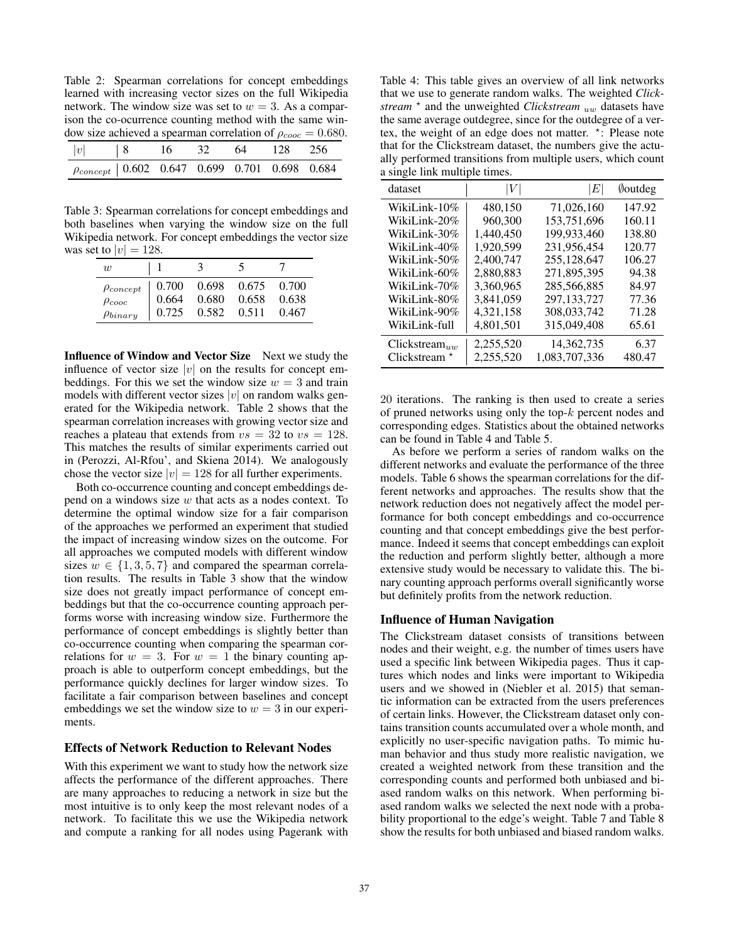Table 2: Spearman correlations for concept embeddings learned with increasing vector sizes on the full Wikipedia network. The window size was set to  $w = 3$ . As a comparison the co-ocurrence counting method with the same window size achieved a spearman correlation of  $\rho_{cooc} = 0.680$ .

| $ v $   8                                              | $\sim$ 16 | 32 <sup>7</sup> | 64 | 128 256 |  |
|--------------------------------------------------------|-----------|-----------------|----|---------|--|
| $\rho_{concept}$   0.602 0.647 0.699 0.701 0.698 0.684 |           |                 |    |         |  |

Table 3: Spearman correlations for concept embeddings and both baselines when varying the window size on the full Wikipedia network. For concept embeddings the vector size was set to  $|v| = 128$ .

| w                |       | 3     |       |       |
|------------------|-------|-------|-------|-------|
| $\rho_{concept}$ | 0.700 | 0.698 | 0.675 | 0.700 |
| $\rho_{cooc}$    | 0.664 | 0.680 | 0.658 | 0.638 |
| $\rho_{binary}$  | 0.725 | 0.582 | 0.511 | 0.467 |

Influence of Window and Vector Size Next we study the influence of vector size  $|v|$  on the results for concept embeddings. For this we set the window size  $w = 3$  and train models with different vector sizes *|v|* on random walks generated for the Wikipedia network. Table 2 shows that the spearman correlation increases with growing vector size and reaches a plateau that extends from  $vs = 32$  to  $vs = 128$ . This matches the results of similar experiments carried out in (Perozzi, Al-Rfou', and Skiena 2014). We analogously chose the vector size  $|v| = 128$  for all further experiments.

Both co-occurrence counting and concept embeddings depend on a windows size *w* that acts as a nodes context. To determine the optimal window size for a fair comparison of the approaches we performed an experiment that studied the impact of increasing window sizes on the outcome. For all approaches we computed models with different window sizes  $w \in \{1, 3, 5, 7\}$  and compared the spearman correlation results. The results in Table 3 show that the window size does not greatly impact performance of concept embeddings but that the co-occurrence counting approach performs worse with increasing window size. Furthermore the performance of concept embeddings is slightly better than co-occurrence counting when comparing the spearman correlations for  $w = 3$ . For  $w = 1$  the binary counting approach is able to outperform concept embeddings, but the performance quickly declines for larger window sizes. To facilitate a fair comparison between baselines and concept embeddings we set the window size to  $w = 3$  in our experiments.

# Effects of Network Reduction to Relevant Nodes

With this experiment we want to study how the network size affects the performance of the different approaches. There are many approaches to reducing a network in size but the most intuitive is to only keep the most relevant nodes of a network. To facilitate this we use the Wikipedia network and compute a ranking for all nodes using Pagerank with

Table 4: This table gives an overview of all link networks that we use to generate random walks. The weighted *Clickstream*  $\star$  and the unweighted *Clickstream uw* datasets have the same average outdegree, since for the outdegree of a vertex, the weight of an edge does not matter. \*: Please note that for the Clickstream dataset, the numbers give the actually performed transitions from multiple users, which count a single link multiple times.

| dataset         | V         | Е             | <i><b>Doutdeg</b></i> |
|-----------------|-----------|---------------|-----------------------|
| WikiLink-10%    | 480,150   | 71,026,160    | 147.92                |
| WikiLink-20%    | 960,300   | 153,751,696   | 160.11                |
| WikiLink-30%    | 1,440,450 | 199,933,460   | 138.80                |
| WikiLink-40%    | 1,920,599 | 231,956,454   | 120.77                |
| WikiLink-50%    | 2,400,747 | 255,128,647   | 106.27                |
| WikiLink-60%    | 2,880,883 | 271,895,395   | 94.38                 |
| WikiLink-70%    | 3.360.965 | 285,566,885   | 84.97                 |
| WikiLink-80%    | 3.841.059 | 297,133,727   | 77.36                 |
| WikiLink-90%    | 4,321,158 | 308,033,742   | 71.28                 |
| WikiLink-full   | 4,801,501 | 315,049,408   | 65.61                 |
| Clickstream     | 2,255,520 | 14,362,735    | 6.37                  |
| Clickstream $*$ | 2,255,520 | 1,083,707,336 | 480.47                |

20 iterations. The ranking is then used to create a series of pruned networks using only the top-*k* percent nodes and corresponding edges. Statistics about the obtained networks can be found in Table 4 and Table 5.

As before we perform a series of random walks on the different networks and evaluate the performance of the three models. Table 6 shows the spearman correlations for the different networks and approaches. The results show that the network reduction does not negatively affect the model performance for both concept embeddings and co-occurrence counting and that concept embeddings give the best performance. Indeed it seems that concept embeddings can exploit the reduction and perform slightly better, although a more extensive study would be necessary to validate this. The binary counting approach performs overall significantly worse but definitely profits from the network reduction.

#### Influence of Human Navigation

The Clickstream dataset consists of transitions between nodes and their weight, e.g. the number of times users have used a specific link between Wikipedia pages. Thus it captures which nodes and links were important to Wikipedia users and we showed in (Niebler et al. 2015) that semantic information can be extracted from the users preferences of certain links. However, the Clickstream dataset only contains transition counts accumulated over a whole month, and explicitly no user-specific navigation paths. To mimic human behavior and thus study more realistic navigation, we created a weighted network from these transition and the corresponding counts and performed both unbiased and biased random walks on this network. When performing biased random walks we selected the next node with a probability proportional to the edge's weight. Table 7 and Table 8 show the results for both unbiased and biased random walks.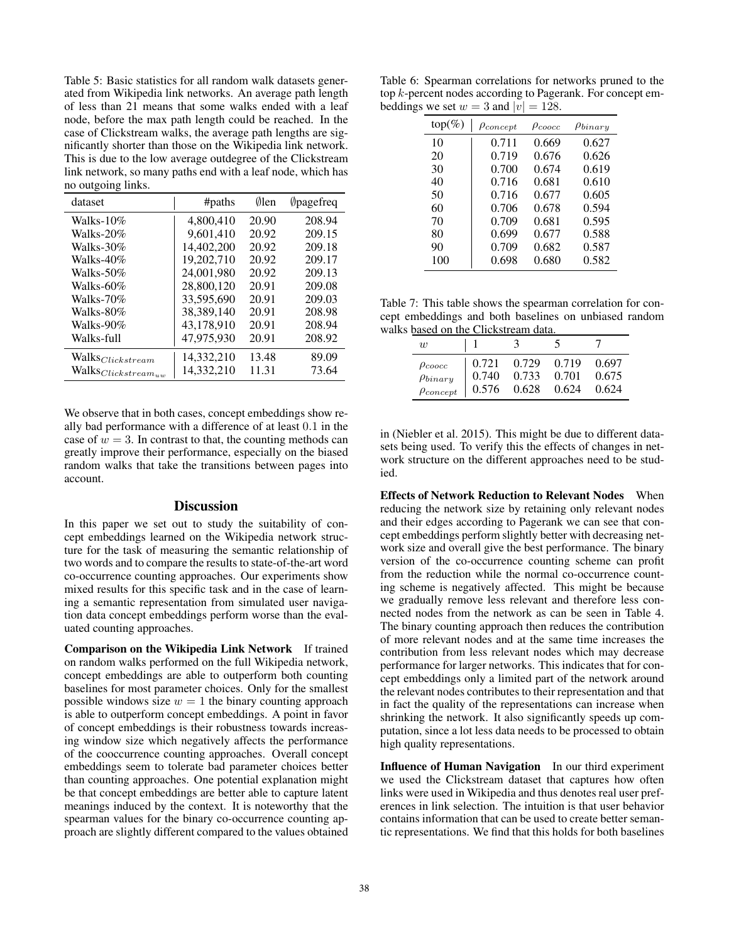Table 5: Basic statistics for all random walk datasets generated from Wikipedia link networks. An average path length of less than 21 means that some walks ended with a leaf node, before the max path length could be reached. In the case of Clickstream walks, the average path lengths are significantly shorter than those on the Wikipedia link network. This is due to the low average outdegree of the Clickstream link network, so many paths end with a leaf node, which has no outgoing links.

| dataset                                 | #paths     | $\emptyset$ len | <b>Opagefreq</b> |
|-----------------------------------------|------------|-----------------|------------------|
| Walks- $10\%$                           | 4.800.410  | 20.90           | 208.94           |
| Walks-20%                               | 9,601,410  | 20.92           | 209.15           |
| Walks-30%                               | 14,402,200 | 20.92           | 209.18           |
| Walks-40%                               | 19,202,710 | 20.92           | 209.17           |
| Walks-50%                               | 24,001,980 | 20.92           | 209.13           |
| Walks-60%                               | 28,800,120 | 20.91           | 209.08           |
| Walks-70%                               | 33,595,690 | 20.91           | 209.03           |
| Walks-80%                               | 38.389.140 | 20.91           | 208.98           |
| Walks-90%                               | 43,178,910 | 20.91           | 208.94           |
| Walks-full                              | 47,975,930 | 20.91           | 208.92           |
| $\mathrm{Walks}_{\mathit{Clickstream}}$ | 14,332,210 | 13.48           | 89.09            |
| $\mathrm{Walks}_{Clickstream_{uw}}$     | 14,332,210 | 11.31           | 73.64            |

We observe that in both cases, concept embeddings show really bad performance with a difference of at least 0*.*1 in the case of  $w = 3$ . In contrast to that, the counting methods can greatly improve their performance, especially on the biased random walks that take the transitions between pages into account.

#### **Discussion**

In this paper we set out to study the suitability of concept embeddings learned on the Wikipedia network structure for the task of measuring the semantic relationship of two words and to compare the results to state-of-the-art word co-occurrence counting approaches. Our experiments show mixed results for this specific task and in the case of learning a semantic representation from simulated user navigation data concept embeddings perform worse than the evaluated counting approaches.

Comparison on the Wikipedia Link Network If trained on random walks performed on the full Wikipedia network, concept embeddings are able to outperform both counting baselines for most parameter choices. Only for the smallest possible windows size  $w = 1$  the binary counting approach is able to outperform concept embeddings. A point in favor of concept embeddings is their robustness towards increasing window size which negatively affects the performance of the cooccurrence counting approaches. Overall concept embeddings seem to tolerate bad parameter choices better than counting approaches. One potential explanation might be that concept embeddings are better able to capture latent meanings induced by the context. It is noteworthy that the spearman values for the binary co-occurrence counting approach are slightly different compared to the values obtained

Table 6: Spearman correlations for networks pruned to the top *k*-percent nodes according to Pagerank. For concept embeddings we set  $w = 3$  and  $|v| = 128$ .

| $top(\%)$ | $\rho_{concept}$ | $\rho_{coocc}$ | $\rho_{binary}$ |
|-----------|------------------|----------------|-----------------|
| 10        | 0.711            | 0.669          | 0.627           |
| 20        | 0.719            | 0.676          | 0.626           |
| 30        | 0.700            | 0.674          | 0.619           |
| 40        | 0.716            | 0.681          | 0.610           |
| 50        | 0.716            | 0.677          | 0.605           |
| 60        | 0.706            | 0.678          | 0.594           |
| 70        | 0.709            | 0.681          | 0.595           |
| 80        | 0.699            | 0.677          | 0.588           |
| 90        | 0.709            | 0.682          | 0.587           |
| 100       | 0.698            | 0.680          | 0.582           |

Table 7: This table shows the spearman correlation for concept embeddings and both baselines on unbiased random walks based on the Clickstream data.

| $\overline{w}$   |       | 3     |       |       |
|------------------|-------|-------|-------|-------|
| $\rho_{coocc}$   | 0.721 | 0.729 | 0.719 | 0.697 |
| $\rho_{binary}$  | 0.740 | 0.733 | 0.701 | 0.675 |
| $\rho_{concept}$ | 0.576 | 0.628 | 0.624 | 0.624 |

in (Niebler et al. 2015). This might be due to different datasets being used. To verify this the effects of changes in network structure on the different approaches need to be studied.

Effects of Network Reduction to Relevant Nodes When reducing the network size by retaining only relevant nodes and their edges according to Pagerank we can see that concept embeddings perform slightly better with decreasing network size and overall give the best performance. The binary version of the co-occurrence counting scheme can profit from the reduction while the normal co-occurrence counting scheme is negatively affected. This might be because we gradually remove less relevant and therefore less connected nodes from the network as can be seen in Table 4. The binary counting approach then reduces the contribution of more relevant nodes and at the same time increases the contribution from less relevant nodes which may decrease performance for larger networks. This indicates that for concept embeddings only a limited part of the network around the relevant nodes contributes to their representation and that in fact the quality of the representations can increase when shrinking the network. It also significantly speeds up computation, since a lot less data needs to be processed to obtain high quality representations.

Influence of Human Navigation In our third experiment we used the Clickstream dataset that captures how often links were used in Wikipedia and thus denotes real user preferences in link selection. The intuition is that user behavior contains information that can be used to create better semantic representations. We find that this holds for both baselines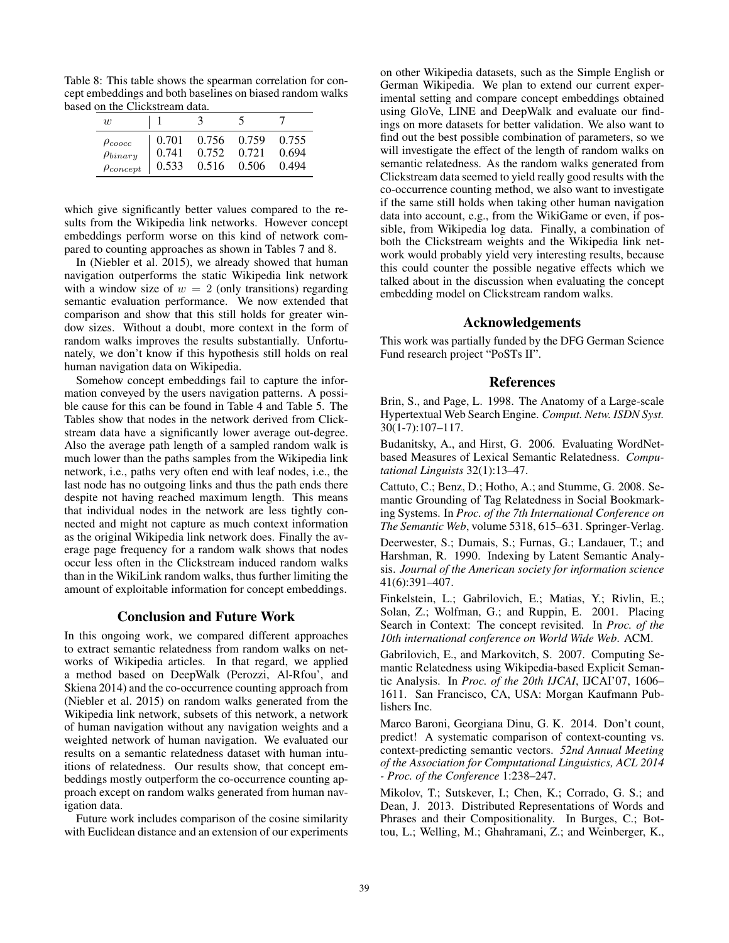Table 8: This table shows the spearman correlation for concept embeddings and both baselines on biased random walks based on the Clickstream data.

| $\boldsymbol{w}$ |       | ۰     |       |       |
|------------------|-------|-------|-------|-------|
| $\rho_{coocc}$   | 0.701 | 0.756 | 0.759 | 0.755 |
| $\rho_{binary}$  | 0.741 | 0.752 | 0.721 | 0.694 |
| $\rho_{concept}$ | 0.533 | 0.516 | 0.506 | 0.494 |

which give significantly better values compared to the results from the Wikipedia link networks. However concept embeddings perform worse on this kind of network compared to counting approaches as shown in Tables 7 and 8.

In (Niebler et al. 2015), we already showed that human navigation outperforms the static Wikipedia link network with a window size of  $w = 2$  (only transitions) regarding semantic evaluation performance. We now extended that comparison and show that this still holds for greater window sizes. Without a doubt, more context in the form of random walks improves the results substantially. Unfortunately, we don't know if this hypothesis still holds on real human navigation data on Wikipedia.

Somehow concept embeddings fail to capture the information conveyed by the users navigation patterns. A possible cause for this can be found in Table 4 and Table 5. The Tables show that nodes in the network derived from Clickstream data have a significantly lower average out-degree. Also the average path length of a sampled random walk is much lower than the paths samples from the Wikipedia link network, i.e., paths very often end with leaf nodes, i.e., the last node has no outgoing links and thus the path ends there despite not having reached maximum length. This means that individual nodes in the network are less tightly connected and might not capture as much context information as the original Wikipedia link network does. Finally the average page frequency for a random walk shows that nodes occur less often in the Clickstream induced random walks than in the WikiLink random walks, thus further limiting the amount of exploitable information for concept embeddings.

# Conclusion and Future Work

In this ongoing work, we compared different approaches to extract semantic relatedness from random walks on networks of Wikipedia articles. In that regard, we applied a method based on DeepWalk (Perozzi, Al-Rfou', and Skiena 2014) and the co-occurrence counting approach from (Niebler et al. 2015) on random walks generated from the Wikipedia link network, subsets of this network, a network of human navigation without any navigation weights and a weighted network of human navigation. We evaluated our results on a semantic relatedness dataset with human intuitions of relatedness. Our results show, that concept embeddings mostly outperform the co-occurrence counting approach except on random walks generated from human navigation data.

Future work includes comparison of the cosine similarity with Euclidean distance and an extension of our experiments

on other Wikipedia datasets, such as the Simple English or German Wikipedia. We plan to extend our current experimental setting and compare concept embeddings obtained using GloVe, LINE and DeepWalk and evaluate our findings on more datasets for better validation. We also want to find out the best possible combination of parameters, so we will investigate the effect of the length of random walks on semantic relatedness. As the random walks generated from Clickstream data seemed to yield really good results with the co-occurrence counting method, we also want to investigate if the same still holds when taking other human navigation data into account, e.g., from the WikiGame or even, if possible, from Wikipedia log data. Finally, a combination of both the Clickstream weights and the Wikipedia link network would probably yield very interesting results, because this could counter the possible negative effects which we talked about in the discussion when evaluating the concept embedding model on Clickstream random walks.

# Acknowledgements

This work was partially funded by the DFG German Science Fund research project "PoSTs II".

### References

Brin, S., and Page, L. 1998. The Anatomy of a Large-scale Hypertextual Web Search Engine. *Comput. Netw. ISDN Syst.* 30(1-7):107–117.

Budanitsky, A., and Hirst, G. 2006. Evaluating WordNetbased Measures of Lexical Semantic Relatedness. *Computational Linguists* 32(1):13–47.

Cattuto, C.; Benz, D.; Hotho, A.; and Stumme, G. 2008. Semantic Grounding of Tag Relatedness in Social Bookmarking Systems. In *Proc. of the 7th International Conference on The Semantic Web*, volume 5318, 615–631. Springer-Verlag.

Deerwester, S.; Dumais, S.; Furnas, G.; Landauer, T.; and Harshman, R. 1990. Indexing by Latent Semantic Analysis. *Journal of the American society for information science* 41(6):391–407.

Finkelstein, L.; Gabrilovich, E.; Matias, Y.; Rivlin, E.; Solan, Z.; Wolfman, G.; and Ruppin, E. 2001. Placing Search in Context: The concept revisited. In *Proc. of the 10th international conference on World Wide Web*. ACM.

Gabrilovich, E., and Markovitch, S. 2007. Computing Semantic Relatedness using Wikipedia-based Explicit Semantic Analysis. In *Proc. of the 20th IJCAI*, IJCAI'07, 1606– 1611. San Francisco, CA, USA: Morgan Kaufmann Publishers Inc.

Marco Baroni, Georgiana Dinu, G. K. 2014. Don't count, predict! A systematic comparison of context-counting vs. context-predicting semantic vectors. *52nd Annual Meeting of the Association for Computational Linguistics, ACL 2014 - Proc. of the Conference* 1:238–247.

Mikolov, T.; Sutskever, I.; Chen, K.; Corrado, G. S.; and Dean, J. 2013. Distributed Representations of Words and Phrases and their Compositionality. In Burges, C.; Bottou, L.; Welling, M.; Ghahramani, Z.; and Weinberger, K.,